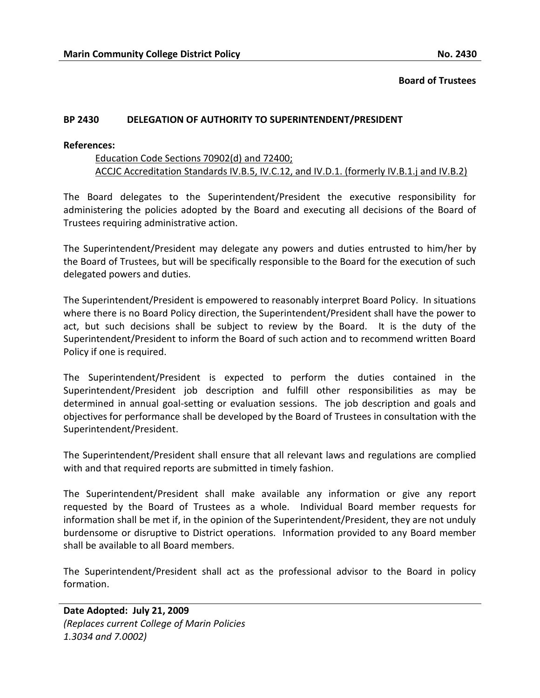**Board of Trustees**

## **BP 2430 DELEGATION OF AUTHORITY TO SUPERINTENDENT/PRESIDENT**

## **References:**

## Education Code Sections 70902(d) and 72400; ACCJC Accreditation Standards IV.B.5, IV.C.12, and IV.D.1. (formerly IV.B.1.j and IV.B.2)

The Board delegates to the Superintendent/President the executive responsibility for administering the policies adopted by the Board and executing all decisions of the Board of Trustees requiring administrative action.

The Superintendent/President may delegate any powers and duties entrusted to him/her by the Board of Trustees, but will be specifically responsible to the Board for the execution of such delegated powers and duties.

The Superintendent/President is empowered to reasonably interpret Board Policy. In situations where there is no Board Policy direction, the Superintendent/President shall have the power to act, but such decisions shall be subject to review by the Board. It is the duty of the Superintendent/President to inform the Board of such action and to recommend written Board Policy if one is required.

The Superintendent/President is expected to perform the duties contained in the Superintendent/President job description and fulfill other responsibilities as may be determined in annual goal-setting or evaluation sessions. The job description and goals and objectives for performance shall be developed by the Board of Trustees in consultation with the Superintendent/President.

The Superintendent/President shall ensure that all relevant laws and regulations are complied with and that required reports are submitted in timely fashion.

The Superintendent/President shall make available any information or give any report requested by the Board of Trustees as a whole. Individual Board member requests for information shall be met if, in the opinion of the Superintendent/President, they are not unduly burdensome or disruptive to District operations. Information provided to any Board member shall be available to all Board members.

The Superintendent/President shall act as the professional advisor to the Board in policy formation.